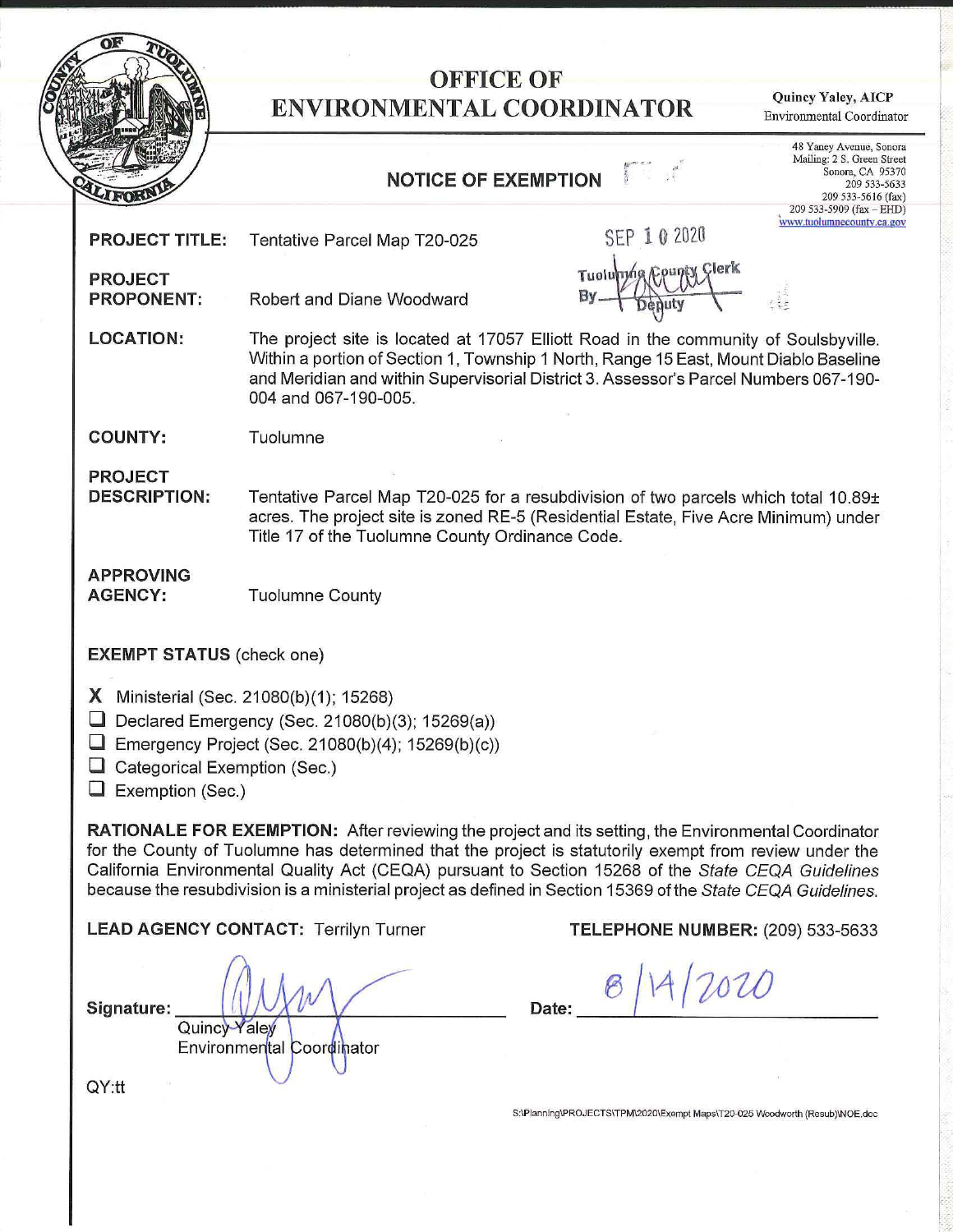

## **OFFICE OF ENVIRONMENTAL COORDINATOR**

**Quincy Yaley, AICP**  Environmental Coordinator

## **NOTICE OF EXEMPTION**

48 Yaney Avenue, Sonora Mailing: 2 S. Green Street Sonora, CA *953* 70 209 533-5633 209 533-5616 (fax) 9 533-5909 (fax - EHD) **www.tuolumnecounty.ca.gov** 

|                                                                                                   |                                                                                                                                                                                                                                                                                              | 209 533-5616    |                                               |  |  |  |
|---------------------------------------------------------------------------------------------------|----------------------------------------------------------------------------------------------------------------------------------------------------------------------------------------------------------------------------------------------------------------------------------------------|-----------------|-----------------------------------------------|--|--|--|
| <b>PROJECT TITLE:</b>                                                                             | Tentative Parcel Map T20-025                                                                                                                                                                                                                                                                 | SEP 10 2020     | 209 533-5909 (fax $-$<br>www.tuolumnecounty.c |  |  |  |
| <b>PROJECT</b><br><b>PROPONENT:</b>                                                               | Robert and Diane Woodward                                                                                                                                                                                                                                                                    | Tuolumng County |                                               |  |  |  |
| <b>LOCATION:</b>                                                                                  | The project site is located at 17057 Elliott Road in the community of Soulsbyville.<br>Within a portion of Section 1, Township 1 North, Range 15 East, Mount Diablo Baseline<br>and Meridian and within Supervisorial District 3. Assessor's Parcel Numbers 067-190-<br>004 and 067-190-005. |                 |                                               |  |  |  |
| <b>COUNTY:</b>                                                                                    | Tuolumne                                                                                                                                                                                                                                                                                     |                 |                                               |  |  |  |
| <b>PROJECT</b><br><b>DESCRIPTION:</b>                                                             | Tentative Parcel Map T20-025 for a resubdivision of two parcels which total 10.89±<br>acres. The project site is zoned RE-5 (Residential Estate, Five Acre Minimum) under<br>Title 17 of the Tuolumne County Ordinance Code.                                                                 |                 |                                               |  |  |  |
| <b>APPROVING</b><br><b>AGENCY:</b>                                                                | <b>Tuolumne County</b>                                                                                                                                                                                                                                                                       |                 |                                               |  |  |  |
| <b>EXEMPT STATUS (check one)</b>                                                                  |                                                                                                                                                                                                                                                                                              |                 |                                               |  |  |  |
| Categorical Exemption (Sec.)<br>$\Box$ Exemption (Sec.)                                           | <b>X</b> Ministerial (Sec. 21080(b)(1); 15268)<br>$\Box$ Declared Emergency (Sec. 21080(b)(3); 15269(a))<br>$\Box$ Emergency Project (Sec. 21080(b)(4); 15269(b)(c))                                                                                                                         |                 |                                               |  |  |  |
| <b>DATIONALE COD EVEMBTION</b> After roughling the project and its setting the Environmental Cear |                                                                                                                                                                                                                                                                                              |                 |                                               |  |  |  |

**RATIONALE FOR EXEMPTION:** After reviewing the project and its setting, the Environmental Coordinator for the County of Tuolumne has determined that the project is statutorily exempt from review under the California Environmental Quality Act (CEQA) pursuant to Section 15268 of the State CEQA Guidelines because the resubdivision is a ministerial project as defined in Section 15369 of the State CEQA Guidelines.

**LEAD AGENCY CONTACT:** Terrilyn Turner **TELEPHONE NUMBER:** (209) 533-5633

 $Signature:$   $\begin{picture}(100,100) \put(0,0){\line(1,0){10}} \put(10,0){\line(1,0){10}} \put(10,0){\line(1,0){10}} \put(10,0){\line(1,0){10}} \put(10,0){\line(1,0){10}} \put(10,0){\line(1,0){10}} \put(10,0){\line(1,0){10}} \put(10,0){\line(1,0){10}} \put(10,0){\line(1,0){10}} \put(10,0){\line(1,0){10}} \put(10,0){\line(1,0){10}} \put($ Environmental Coordinator

**\_..\_\_/** 1\_<sup>1</sup>*(\_~\_w \_\_* Quine

S:\Planning\PROJECTS\TPM\2020\Exempt Maps\T20-025 Woodworth (Resub)INOE.doc

QY:tt